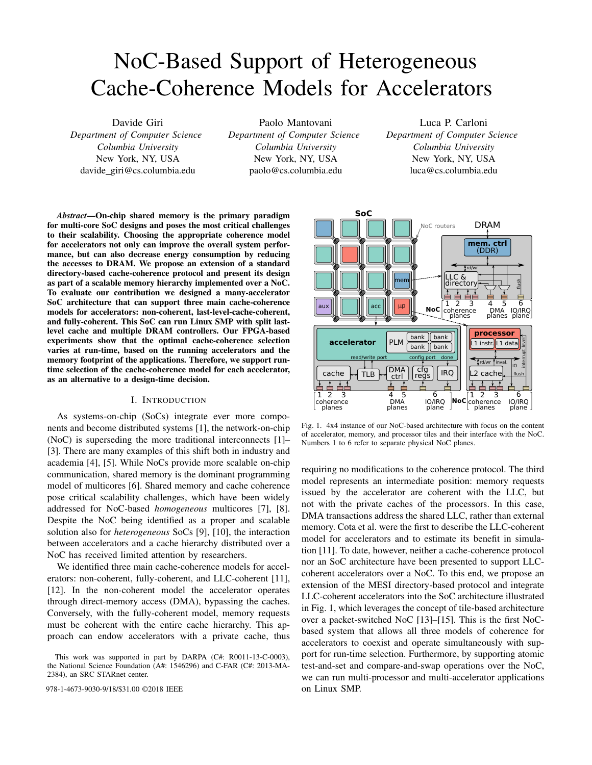# NoC-Based Support of Heterogeneous Cache-Coherence Models for Accelerators

Davide Giri *Department of Computer Science Columbia University* New York, NY, USA davide giri@cs.columbia.edu

Paolo Mantovani *Department of Computer Science Columbia University* New York, NY, USA paolo@cs.columbia.edu

Luca P. Carloni *Department of Computer Science Columbia University* New York, NY, USA luca@cs.columbia.edu

*Abstract*—On-chip shared memory is the primary paradigm for multi-core SoC designs and poses the most critical challenges to their scalability. Choosing the appropriate coherence model for accelerators not only can improve the overall system performance, but can also decrease energy consumption by reducing the accesses to DRAM. We propose an extension of a standard directory-based cache-coherence protocol and present its design as part of a scalable memory hierarchy implemented over a NoC. To evaluate our contribution we designed a many-accelerator SoC architecture that can support three main cache-coherence models for accelerators: non-coherent, last-level-cache-coherent, and fully-coherent. This SoC can run Linux SMP with split lastlevel cache and multiple DRAM controllers. Our FPGA-based experiments show that the optimal cache-coherence selection varies at run-time, based on the running accelerators and the memory footprint of the applications. Therefore, we support runtime selection of the cache-coherence model for each accelerator, as an alternative to a design-time decision.

#### I. INTRODUCTION

As systems-on-chip (SoCs) integrate ever more components and become distributed systems [1], the network-on-chip (NoC) is superseding the more traditional interconnects [1]– [3]. There are many examples of this shift both in industry and academia [4], [5]. While NoCs provide more scalable on-chip communication, shared memory is the dominant programming model of multicores [6]. Shared memory and cache coherence pose critical scalability challenges, which have been widely addressed for NoC-based *homogeneous* multicores [7], [8]. Despite the NoC being identified as a proper and scalable solution also for *heterogeneous* SoCs [9], [10], the interaction between accelerators and a cache hierarchy distributed over a NoC has received limited attention by researchers.

We identified three main cache-coherence models for accelerators: non-coherent, fully-coherent, and LLC-coherent [11], [12]. In the non-coherent model the accelerator operates through direct-memory access (DMA), bypassing the caches. Conversely, with the fully-coherent model, memory requests must be coherent with the entire cache hierarchy. This approach can endow accelerators with a private cache, thus

978-1-4673-9030-9/18/\$31.00 ©2018 IEEE on Linux SMP.



Fig. 1. 4x4 instance of our NoC-based architecture with focus on the content of accelerator, memory, and processor tiles and their interface with the NoC. Numbers 1 to 6 refer to separate physical NoC planes.

requiring no modifications to the coherence protocol. The third model represents an intermediate position: memory requests issued by the accelerator are coherent with the LLC, but not with the private caches of the processors. In this case, DMA transactions address the shared LLC, rather than external memory. Cota et al. were the first to describe the LLC-coherent model for accelerators and to estimate its benefit in simulation [11]. To date, however, neither a cache-coherence protocol nor an SoC architecture have been presented to support LLCcoherent accelerators over a NoC. To this end, we propose an extension of the MESI directory-based protocol and integrate LLC-coherent accelerators into the SoC architecture illustrated in Fig. 1, which leverages the concept of tile-based architecture over a packet-switched NoC [13]–[15]. This is the first NoCbased system that allows all three models of coherence for accelerators to coexist and operate simultaneously with support for run-time selection. Furthermore, by supporting atomic test-and-set and compare-and-swap operations over the NoC, we can run multi-processor and multi-accelerator applications

This work was supported in part by DARPA (C#: R0011-13-C-0003), the National Science Foundation (A#: 1546296) and C-FAR (C#: 2013-MA-2384), an SRC STARnet center.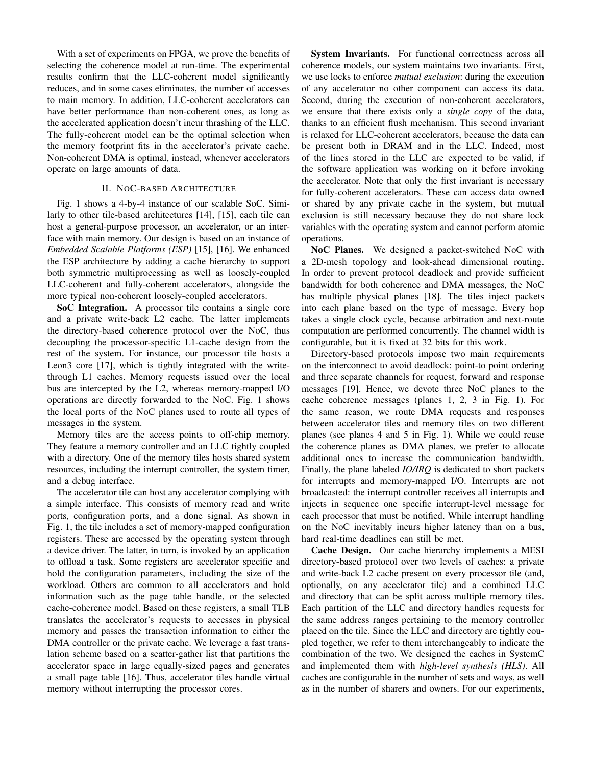With a set of experiments on FPGA, we prove the benefits of selecting the coherence model at run-time. The experimental results confirm that the LLC-coherent model significantly reduces, and in some cases eliminates, the number of accesses to main memory. In addition, LLC-coherent accelerators can have better performance than non-coherent ones, as long as the accelerated application doesn't incur thrashing of the LLC. The fully-coherent model can be the optimal selection when the memory footprint fits in the accelerator's private cache. Non-coherent DMA is optimal, instead, whenever accelerators operate on large amounts of data.

#### II. NOC-BASED ARCHITECTURE

Fig. 1 shows a 4-by-4 instance of our scalable SoC. Similarly to other tile-based architectures [14], [15], each tile can host a general-purpose processor, an accelerator, or an interface with main memory. Our design is based on an instance of *Embedded Scalable Platforms (ESP)* [15], [16]. We enhanced the ESP architecture by adding a cache hierarchy to support both symmetric multiprocessing as well as loosely-coupled LLC-coherent and fully-coherent accelerators, alongside the more typical non-coherent loosely-coupled accelerators.

SoC Integration. A processor tile contains a single core and a private write-back L2 cache. The latter implements the directory-based coherence protocol over the NoC, thus decoupling the processor-specific L1-cache design from the rest of the system. For instance, our processor tile hosts a Leon3 core [17], which is tightly integrated with the writethrough L1 caches. Memory requests issued over the local bus are intercepted by the L2, whereas memory-mapped I/O operations are directly forwarded to the NoC. Fig. 1 shows the local ports of the NoC planes used to route all types of messages in the system.

Memory tiles are the access points to off-chip memory. They feature a memory controller and an LLC tightly coupled with a directory. One of the memory tiles hosts shared system resources, including the interrupt controller, the system timer, and a debug interface.

The accelerator tile can host any accelerator complying with a simple interface. This consists of memory read and write ports, configuration ports, and a done signal. As shown in Fig. 1, the tile includes a set of memory-mapped configuration registers. These are accessed by the operating system through a device driver. The latter, in turn, is invoked by an application to offload a task. Some registers are accelerator specific and hold the configuration parameters, including the size of the workload. Others are common to all accelerators and hold information such as the page table handle, or the selected cache-coherence model. Based on these registers, a small TLB translates the accelerator's requests to accesses in physical memory and passes the transaction information to either the DMA controller or the private cache. We leverage a fast translation scheme based on a scatter-gather list that partitions the accelerator space in large equally-sized pages and generates a small page table [16]. Thus, accelerator tiles handle virtual memory without interrupting the processor cores.

System Invariants. For functional correctness across all coherence models, our system maintains two invariants. First, we use locks to enforce *mutual exclusion*: during the execution of any accelerator no other component can access its data. Second, during the execution of non-coherent accelerators, we ensure that there exists only a *single copy* of the data, thanks to an efficient flush mechanism. This second invariant is relaxed for LLC-coherent accelerators, because the data can be present both in DRAM and in the LLC. Indeed, most of the lines stored in the LLC are expected to be valid, if the software application was working on it before invoking the accelerator. Note that only the first invariant is necessary for fully-coherent accelerators. These can access data owned or shared by any private cache in the system, but mutual exclusion is still necessary because they do not share lock variables with the operating system and cannot perform atomic operations.

NoC Planes. We designed a packet-switched NoC with a 2D-mesh topology and look-ahead dimensional routing. In order to prevent protocol deadlock and provide sufficient bandwidth for both coherence and DMA messages, the NoC has multiple physical planes [18]. The tiles inject packets into each plane based on the type of message. Every hop takes a single clock cycle, because arbitration and next-route computation are performed concurrently. The channel width is configurable, but it is fixed at 32 bits for this work.

Directory-based protocols impose two main requirements on the interconnect to avoid deadlock: point-to point ordering and three separate channels for request, forward and response messages [19]. Hence, we devote three NoC planes to the cache coherence messages (planes 1, 2, 3 in Fig. 1). For the same reason, we route DMA requests and responses between accelerator tiles and memory tiles on two different planes (see planes 4 and 5 in Fig. 1). While we could reuse the coherence planes as DMA planes, we prefer to allocate additional ones to increase the communication bandwidth. Finally, the plane labeled *IO/IRQ* is dedicated to short packets for interrupts and memory-mapped I/O. Interrupts are not broadcasted: the interrupt controller receives all interrupts and injects in sequence one specific interrupt-level message for each processor that must be notified. While interrupt handling on the NoC inevitably incurs higher latency than on a bus, hard real-time deadlines can still be met.

Cache Design. Our cache hierarchy implements a MESI directory-based protocol over two levels of caches: a private and write-back L2 cache present on every processor tile (and, optionally, on any accelerator tile) and a combined LLC and directory that can be split across multiple memory tiles. Each partition of the LLC and directory handles requests for the same address ranges pertaining to the memory controller placed on the tile. Since the LLC and directory are tightly coupled together, we refer to them interchangeably to indicate the combination of the two. We designed the caches in SystemC and implemented them with *high-level synthesis (HLS)*. All caches are configurable in the number of sets and ways, as well as in the number of sharers and owners. For our experiments,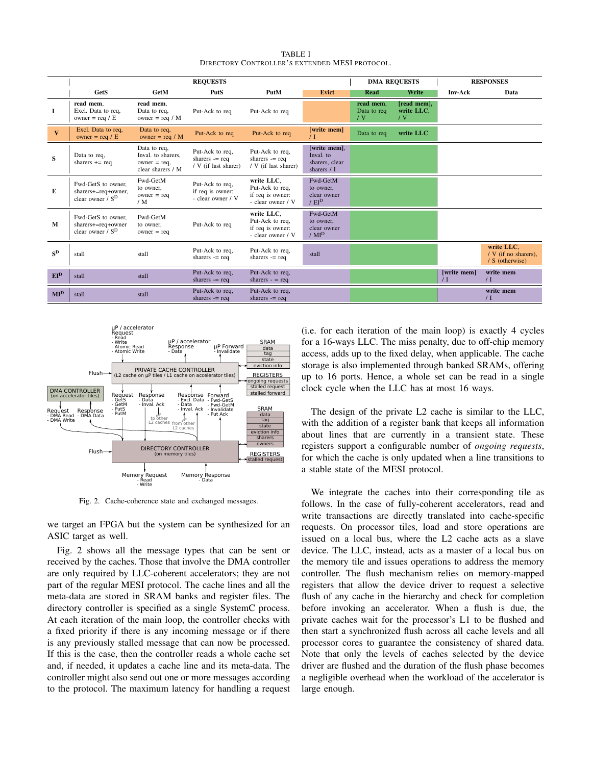TABLE I DIRECTORY CONTROLLER'S EXTENDED MESI PROTOCOL.

|                           | <b>REQUESTS</b>                                                            |                                                                            |                                                                   |                                                                        | <b>DMA REQUESTS</b>                                        |                                 | <b>RESPONSES</b>                 |                          |                                                       |
|---------------------------|----------------------------------------------------------------------------|----------------------------------------------------------------------------|-------------------------------------------------------------------|------------------------------------------------------------------------|------------------------------------------------------------|---------------------------------|----------------------------------|--------------------------|-------------------------------------------------------|
|                           | GetS                                                                       | GetM                                                                       | PutS                                                              | PutM                                                                   | <b>Evict</b>                                               | <b>Read</b>                     | Write                            | <b>Inv-Ack</b>           | Data                                                  |
| Т                         | read mem.<br>Excl. Data to req.<br>owner = req $/ E$                       | read mem,<br>Data to req,<br>owner = req $/$ M                             | Put-Ack to req                                                    | Put-Ack to req                                                         |                                                            | read mem.<br>Data to req<br>/ V | [read mem],<br>write LLC.<br>/ V |                          |                                                       |
| $\mathbf{V}$              | Excl. Data to req,<br>owner = req $/ E$                                    | Data to req,<br>owner = req $/$ M                                          | Put-Ack to req                                                    | Put-Ack to req                                                         | [write mem]<br>$\frac{1}{\pi}$                             | Data to req                     | write LLC                        |                          |                                                       |
| S                         | Data to req.<br>sharers $+=$ req                                           | Data to req,<br>Inval. to sharers.<br>$owner = req$ ,<br>clear sharers / M | Put-Ack to req.<br>share $s = \text{req}$<br>/ V (if last sharer) | Put-Ack to req.<br>sharers $-$ req<br>/ V (if last sharer)             | [write mem],<br>Inval. to<br>sharers, clear<br>sharers / I |                                 |                                  |                          |                                                       |
| E                         | Fwd-GetS to owner.<br>sharers+=req+owner,<br>clear owner / $SD$            | Fwd-GetM<br>to owner,<br>$owner = req$<br>/ M                              | Put-Ack to req.<br>if req is owner:<br>- clear owner / V          | write LLC.<br>Put-Ack to req,<br>if req is owner:<br>- clear owner / V | Fwd-GetM<br>to owner,<br>clear owner<br>/ $EI^D$           |                                 |                                  |                          |                                                       |
| M                         | Fwd-GetS to owner.<br>sharers+=req+owner<br>clear owner $/$ S <sup>D</sup> | Fwd-GetM<br>to owner.<br>$owner = req$                                     | Put-Ack to req                                                    | write LLC.<br>Put-Ack to req.<br>if req is owner:<br>- clear owner / V | Fwd-GetM<br>to owner,<br>clear owner<br>/ $MI^D$           |                                 |                                  |                          |                                                       |
| $S^D$                     | stall                                                                      | stall                                                                      | Put-Ack to req,<br>share $s = \text{req}$                         | Put-Ack to req.<br>share $s = \text{req}$                              | stall                                                      |                                 |                                  |                          | write LLC.<br>/ V (if no sharers),<br>/ S (otherwise) |
| E I <sup>D</sup>          | stall                                                                      | stall                                                                      | Put-Ack to req.<br>share $s = \text{req}$                         | Put-Ack to req.<br>share $s - r$ = req                                 |                                                            |                                 |                                  | [write mem]<br>$\sqrt{}$ | write mem<br>/1                                       |
| $\mathbf{M}$ <sup>D</sup> | stall                                                                      | stall                                                                      | Put-Ack to req.<br>share $s = \text{req}$                         | Put-Ack to req.<br>share $s = \text{req}$                              |                                                            |                                 |                                  |                          | write mem<br>$\frac{1}{\pi}$                          |



Fig. 2. Cache-coherence state and exchanged messages.

we target an FPGA but the system can be synthesized for an ASIC target as well.

Fig. 2 shows all the message types that can be sent or received by the caches. Those that involve the DMA controller are only required by LLC-coherent accelerators; they are not part of the regular MESI protocol. The cache lines and all the meta-data are stored in SRAM banks and register files. The directory controller is specified as a single SystemC process. At each iteration of the main loop, the controller checks with a fixed priority if there is any incoming message or if there is any previously stalled message that can now be processed. If this is the case, then the controller reads a whole cache set and, if needed, it updates a cache line and its meta-data. The controller might also send out one or more messages according to the protocol. The maximum latency for handling a request (i.e. for each iteration of the main loop) is exactly 4 cycles for a 16-ways LLC. The miss penalty, due to off-chip memory access, adds up to the fixed delay, when applicable. The cache storage is also implemented through banked SRAMs, offering up to 16 ports. Hence, a whole set can be read in a single clock cycle when the LLC has at most 16 ways.

The design of the private L2 cache is similar to the LLC, with the addition of a register bank that keeps all information about lines that are currently in a transient state. These registers support a configurable number of *ongoing requests*, for which the cache is only updated when a line transitions to a stable state of the MESI protocol.

We integrate the caches into their corresponding tile as follows. In the case of fully-coherent accelerators, read and write transactions are directly translated into cache-specific requests. On processor tiles, load and store operations are issued on a local bus, where the L2 cache acts as a slave device. The LLC, instead, acts as a master of a local bus on the memory tile and issues operations to address the memory controller. The flush mechanism relies on memory-mapped registers that allow the device driver to request a selective flush of any cache in the hierarchy and check for completion before invoking an accelerator. When a flush is due, the private caches wait for the processor's L1 to be flushed and then start a synchronized flush across all cache levels and all processor cores to guarantee the consistency of shared data. Note that only the levels of caches selected by the device driver are flushed and the duration of the flush phase becomes a negligible overhead when the workload of the accelerator is large enough.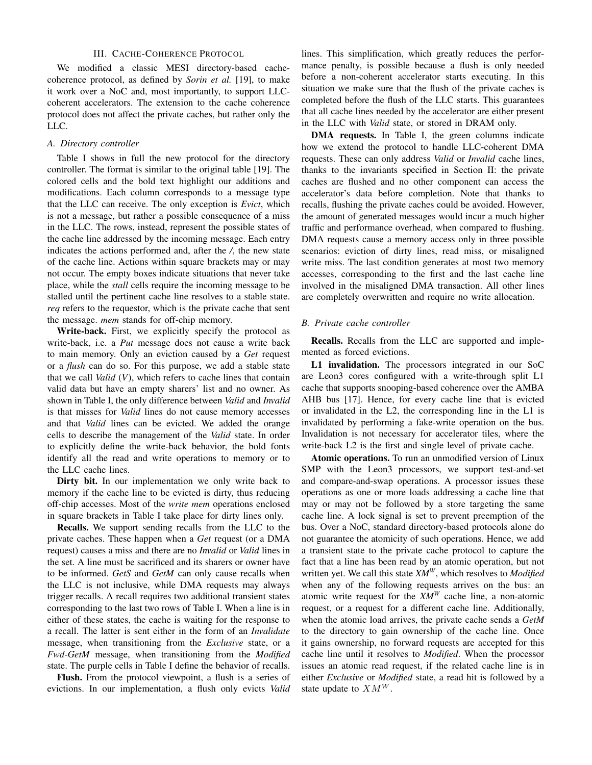## III. CACHE-COHERENCE PROTOCOL

We modified a classic MESI directory-based cachecoherence protocol, as defined by *Sorin et al.* [19], to make it work over a NoC and, most importantly, to support LLCcoherent accelerators. The extension to the cache coherence protocol does not affect the private caches, but rather only the LLC.

## *A. Directory controller*

Table I shows in full the new protocol for the directory controller. The format is similar to the original table [19]. The colored cells and the bold text highlight our additions and modifications. Each column corresponds to a message type that the LLC can receive. The only exception is *Evict*, which is not a message, but rather a possible consequence of a miss in the LLC. The rows, instead, represent the possible states of the cache line addressed by the incoming message. Each entry indicates the actions performed and, after the */*, the new state of the cache line. Actions within square brackets may or may not occur. The empty boxes indicate situations that never take place, while the *stall* cells require the incoming message to be stalled until the pertinent cache line resolves to a stable state. *req* refers to the requestor, which is the private cache that sent the message. *mem* stands for off-chip memory.

Write-back. First, we explicitly specify the protocol as write-back, i.e. a *Put* message does not cause a write back to main memory. Only an eviction caused by a *Get* request or a *flush* can do so. For this purpose, we add a stable state that we call *Valid* (*V*), which refers to cache lines that contain valid data but have an empty sharers' list and no owner. As shown in Table I, the only difference between *Valid* and *Invalid* is that misses for *Valid* lines do not cause memory accesses and that *Valid* lines can be evicted. We added the orange cells to describe the management of the *Valid* state. In order to explicitly define the write-back behavior, the bold fonts identify all the read and write operations to memory or to the LLC cache lines.

Dirty bit. In our implementation we only write back to memory if the cache line to be evicted is dirty, thus reducing off-chip accesses. Most of the *write mem* operations enclosed in square brackets in Table I take place for dirty lines only.

Recalls. We support sending recalls from the LLC to the private caches. These happen when a *Get* request (or a DMA request) causes a miss and there are no *Invalid* or *Valid* lines in the set. A line must be sacrificed and its sharers or owner have to be informed. *GetS* and *GetM* can only cause recalls when the LLC is not inclusive, while DMA requests may always trigger recalls. A recall requires two additional transient states corresponding to the last two rows of Table I. When a line is in either of these states, the cache is waiting for the response to a recall. The latter is sent either in the form of an *Invalidate* message, when transitioning from the *Exclusive* state, or a *Fwd-GetM* message, when transitioning from the *Modified* state. The purple cells in Table I define the behavior of recalls.

Flush. From the protocol viewpoint, a flush is a series of evictions. In our implementation, a flush only evicts *Valid* lines. This simplification, which greatly reduces the performance penalty, is possible because a flush is only needed before a non-coherent accelerator starts executing. In this situation we make sure that the flush of the private caches is completed before the flush of the LLC starts. This guarantees that all cache lines needed by the accelerator are either present in the LLC with *Valid* state, or stored in DRAM only.

DMA requests. In Table I, the green columns indicate how we extend the protocol to handle LLC-coherent DMA requests. These can only address *Valid* or *Invalid* cache lines, thanks to the invariants specified in Section II: the private caches are flushed and no other component can access the accelerator's data before completion. Note that thanks to recalls, flushing the private caches could be avoided. However, the amount of generated messages would incur a much higher traffic and performance overhead, when compared to flushing. DMA requests cause a memory access only in three possible scenarios: eviction of dirty lines, read miss, or misaligned write miss. The last condition generates at most two memory accesses, corresponding to the first and the last cache line involved in the misaligned DMA transaction. All other lines are completely overwritten and require no write allocation.

### *B. Private cache controller*

Recalls. Recalls from the LLC are supported and implemented as forced evictions.

L1 invalidation. The processors integrated in our SoC are Leon3 cores configured with a write-through split L1 cache that supports snooping-based coherence over the AMBA AHB bus [17]. Hence, for every cache line that is evicted or invalidated in the L2, the corresponding line in the L1 is invalidated by performing a fake-write operation on the bus. Invalidation is not necessary for accelerator tiles, where the write-back L2 is the first and single level of private cache.

Atomic operations. To run an unmodified version of Linux SMP with the Leon3 processors, we support test-and-set and compare-and-swap operations. A processor issues these operations as one or more loads addressing a cache line that may or may not be followed by a store targeting the same cache line. A lock signal is set to prevent preemption of the bus. Over a NoC, standard directory-based protocols alone do not guarantee the atomicity of such operations. Hence, we add a transient state to the private cache protocol to capture the fact that a line has been read by an atomic operation, but not written yet. We call this state *XM<sup>W</sup>*, which resolves to *Modified* when any of the following requests arrives on the bus: an atomic write request for the *XM<sup>W</sup>* cache line, a non-atomic request, or a request for a different cache line. Additionally, when the atomic load arrives, the private cache sends a *GetM* to the directory to gain ownership of the cache line. Once it gains ownership, no forward requests are accepted for this cache line until it resolves to *Modified*. When the processor issues an atomic read request, if the related cache line is in either *Exclusive* or *Modified* state, a read hit is followed by a state update to  $XM^{W}$ .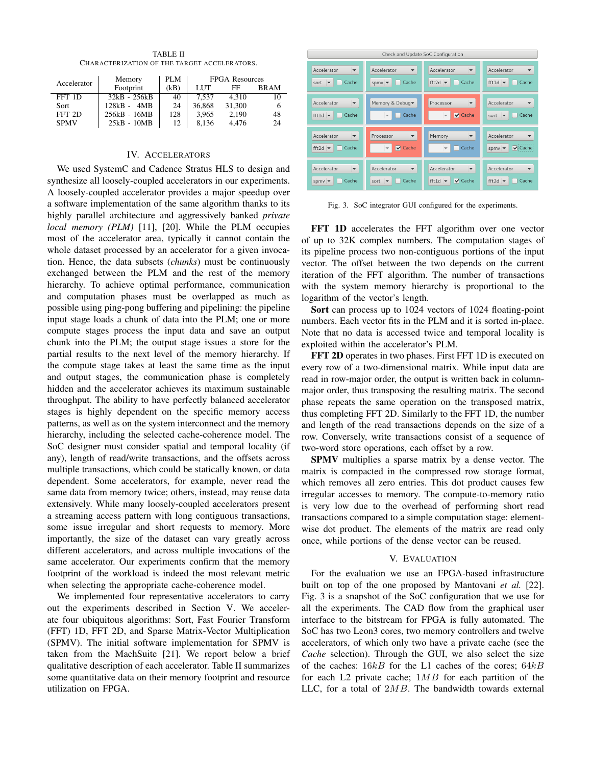TABLE II CHARACTERIZATION OF THE TARGET ACCELERATORS.

| Accelerator | Memory           | PLM  | <b>FPGA</b> Resources |        |             |  |
|-------------|------------------|------|-----------------------|--------|-------------|--|
|             | Footprint        | (kB) | LUT                   | FF     | <b>BRAM</b> |  |
| FFT 1D      | 32kB - 256kB     | 40   | 7.537                 | 4.310  | 10          |  |
| Sort        | $128kB -$<br>4MB | 24   | 36,868                | 31,300 | 6           |  |
| FFT 2D      | 256kB - 16MB     | 128  | 3.965                 | 2.190  | 48          |  |
| <b>SPMV</b> | 25kB - 10MB      | 12   | 8.136                 | 4.476  | 24          |  |

## IV. ACCELERATORS

We used SystemC and Cadence Stratus HLS to design and synthesize all loosely-coupled accelerators in our experiments. A loosely-coupled accelerator provides a major speedup over a software implementation of the same algorithm thanks to its highly parallel architecture and aggressively banked *private local memory (PLM)* [11], [20]. While the PLM occupies most of the accelerator area, typically it cannot contain the whole dataset processed by an accelerator for a given invocation. Hence, the data subsets (*chunks*) must be continuously exchanged between the PLM and the rest of the memory hierarchy. To achieve optimal performance, communication and computation phases must be overlapped as much as possible using ping-pong buffering and pipelining: the pipeline input stage loads a chunk of data into the PLM; one or more compute stages process the input data and save an output chunk into the PLM; the output stage issues a store for the partial results to the next level of the memory hierarchy. If the compute stage takes at least the same time as the input and output stages, the communication phase is completely hidden and the accelerator achieves its maximum sustainable throughput. The ability to have perfectly balanced accelerator stages is highly dependent on the specific memory access patterns, as well as on the system interconnect and the memory hierarchy, including the selected cache-coherence model. The SoC designer must consider spatial and temporal locality (if any), length of read/write transactions, and the offsets across multiple transactions, which could be statically known, or data dependent. Some accelerators, for example, never read the same data from memory twice; others, instead, may reuse data extensively. While many loosely-coupled accelerators present a streaming access pattern with long contiguous transactions, some issue irregular and short requests to memory. More importantly, the size of the dataset can vary greatly across different accelerators, and across multiple invocations of the same accelerator. Our experiments confirm that the memory footprint of the workload is indeed the most relevant metric when selecting the appropriate cache-coherence model.

We implemented four representative accelerators to carry out the experiments described in Section V. We accelerate four ubiquitous algorithms: Sort, Fast Fourier Transform (FFT) 1D, FFT 2D, and Sparse Matrix-Vector Multiplication (SPMV). The initial software implementation for SPMV is taken from the MachSuite [21]. We report below a brief qualitative description of each accelerator. Table II summarizes some quantitative data on their memory footprint and resource utilization on FPGA.

| Check and Update SoC Configuration                                                |                                                                                  |                                                                                                  |                                                                                                     |  |  |  |
|-----------------------------------------------------------------------------------|----------------------------------------------------------------------------------|--------------------------------------------------------------------------------------------------|-----------------------------------------------------------------------------------------------------|--|--|--|
| Accelerator<br>$\overline{\phantom{0}}$<br>Cache<br>sort $\vert \mathbf{v} \vert$ | Accelerator<br>$\blacktriangledown$<br>Cache<br>spmv $\blacktriangledown$        | Accelerator<br>$\blacktriangledown$<br>Cache<br>fft2d $\blacktriangledown$                       | Accelerator<br>$\overline{\phantom{a}}$<br>fft1d $\blacktriangledown$<br>Cache                      |  |  |  |
| Accelerator<br>$\blacktriangledown$<br>fft $1d$ $\blacktriangledown$<br>Cache     | Memory & Debug -<br>Cache<br>$\overline{\mathbf{v}}$                             | Processor<br>$\blacktriangledown$<br><b>V</b> Cache                                              | Accelerator<br>▼<br>Cache<br>sort $\blacktriangledown$                                              |  |  |  |
| Accelerator<br>$\overline{\phantom{a}}$<br>$fft2d$ $\blacktriangleright$<br>Cache | Processor<br>$\overline{\phantom{0}}$<br>V Cache                                 | Memory<br>$\blacktriangledown$<br>Cache<br>$\blacktriangledown$                                  | Accelerator<br>$\overline{\phantom{0}}$<br>$\blacktriangleright$ Cache<br>spmv $\blacktriangledown$ |  |  |  |
| Accelerator<br>$\blacktriangledown$<br>Cache<br>spmv $\blacktriangledown$         | Accelerator<br>$\blacktriangledown$<br>Cache<br>sort<br>$\overline{\phantom{a}}$ | Accelerator<br>$\blacktriangledown$<br>$\blacktriangleright$ Cache<br>fft1d $\blacktriangledown$ | Accelerator<br>$\blacktriangledown$<br>fft2d $\blacktriangledown$<br>Cache                          |  |  |  |

Fig. 3. SoC integrator GUI configured for the experiments.

FFT 1D accelerates the FFT algorithm over one vector of up to 32K complex numbers. The computation stages of its pipeline process two non-contiguous portions of the input vector. The offset between the two depends on the current iteration of the FFT algorithm. The number of transactions with the system memory hierarchy is proportional to the logarithm of the vector's length.

Sort can process up to 1024 vectors of 1024 floating-point numbers. Each vector fits in the PLM and it is sorted in-place. Note that no data is accessed twice and temporal locality is exploited within the accelerator's PLM.

FFT 2D operates in two phases. First FFT 1D is executed on every row of a two-dimensional matrix. While input data are read in row-major order, the output is written back in columnmajor order, thus transposing the resulting matrix. The second phase repeats the same operation on the transposed matrix, thus completing FFT 2D. Similarly to the FFT 1D, the number and length of the read transactions depends on the size of a row. Conversely, write transactions consist of a sequence of two-word store operations, each offset by a row.

SPMV multiplies a sparse matrix by a dense vector. The matrix is compacted in the compressed row storage format, which removes all zero entries. This dot product causes few irregular accesses to memory. The compute-to-memory ratio is very low due to the overhead of performing short read transactions compared to a simple computation stage: elementwise dot product. The elements of the matrix are read only once, while portions of the dense vector can be reused.

### V. EVALUATION

For the evaluation we use an FPGA-based infrastructure built on top of the one proposed by Mantovani *et al.* [22]. Fig. 3 is a snapshot of the SoC configuration that we use for all the experiments. The CAD flow from the graphical user interface to the bitstream for FPGA is fully automated. The SoC has two Leon3 cores, two memory controllers and twelve accelerators, of which only two have a private cache (see the *Cache* selection). Through the GUI, we also select the size of the caches:  $16kB$  for the L1 caches of the cores;  $64kB$ for each L2 private cache;  $1MB$  for each partition of the LLC, for a total of  $2MB$ . The bandwidth towards external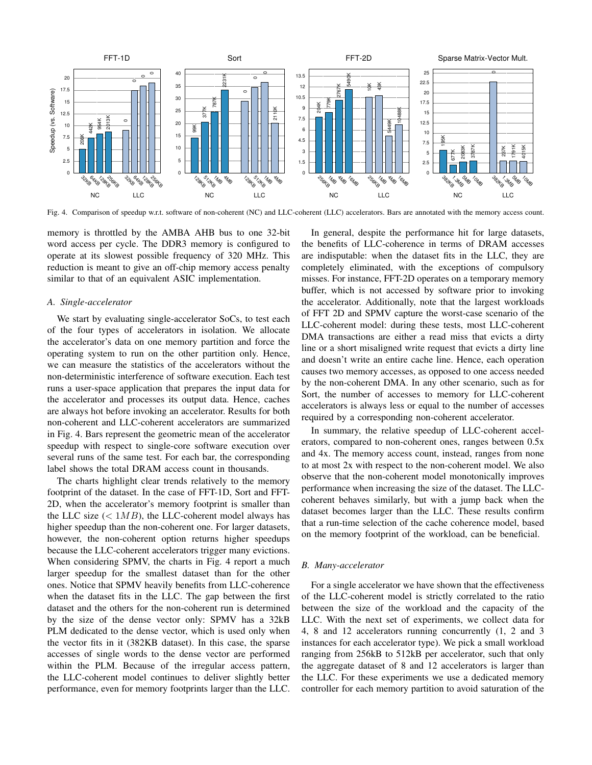

Fig. 4. Comparison of speedup w.r.t. software of non-coherent (NC) and LLC-coherent (LLC) accelerators. Bars are annotated with the memory access count.

memory is throttled by the AMBA AHB bus to one 32-bit word access per cycle. The DDR3 memory is configured to operate at its slowest possible frequency of 320 MHz. This reduction is meant to give an off-chip memory access penalty similar to that of an equivalent ASIC implementation.

### *A. Single-accelerator*

We start by evaluating single-accelerator SoCs, to test each of the four types of accelerators in isolation. We allocate the accelerator's data on one memory partition and force the operating system to run on the other partition only. Hence, we can measure the statistics of the accelerators without the non-deterministic interference of software execution. Each test runs a user-space application that prepares the input data for the accelerator and processes its output data. Hence, caches are always hot before invoking an accelerator. Results for both non-coherent and LLC-coherent accelerators are summarized in Fig. 4. Bars represent the geometric mean of the accelerator speedup with respect to single-core software execution over several runs of the same test. For each bar, the corresponding label shows the total DRAM access count in thousands.

The charts highlight clear trends relatively to the memory footprint of the dataset. In the case of FFT-1D, Sort and FFT-2D, when the accelerator's memory footprint is smaller than the LLC size  $(< 1MB)$ , the LLC-coherent model always has higher speedup than the non-coherent one. For larger datasets, however, the non-coherent option returns higher speedups because the LLC-coherent accelerators trigger many evictions. When considering SPMV, the charts in Fig. 4 report a much larger speedup for the smallest dataset than for the other ones. Notice that SPMV heavily benefits from LLC-coherence when the dataset fits in the LLC. The gap between the first dataset and the others for the non-coherent run is determined by the size of the dense vector only: SPMV has a 32kB PLM dedicated to the dense vector, which is used only when the vector fits in it (382KB dataset). In this case, the sparse accesses of single words to the dense vector are performed within the PLM. Because of the irregular access pattern, the LLC-coherent model continues to deliver slightly better performance, even for memory footprints larger than the LLC.

In general, despite the performance hit for large datasets, the benefits of LLC-coherence in terms of DRAM accesses are indisputable: when the dataset fits in the LLC, they are completely eliminated, with the exceptions of compulsory misses. For instance, FFT-2D operates on a temporary memory buffer, which is not accessed by software prior to invoking the accelerator. Additionally, note that the largest workloads of FFT 2D and SPMV capture the worst-case scenario of the LLC-coherent model: during these tests, most LLC-coherent DMA transactions are either a read miss that evicts a dirty line or a short misaligned write request that evicts a dirty line and doesn't write an entire cache line. Hence, each operation causes two memory accesses, as opposed to one access needed by the non-coherent DMA. In any other scenario, such as for Sort, the number of accesses to memory for LLC-coherent accelerators is always less or equal to the number of accesses required by a corresponding non-coherent accelerator.

In summary, the relative speedup of LLC-coherent accelerators, compared to non-coherent ones, ranges between 0.5x and 4x. The memory access count, instead, ranges from none to at most 2x with respect to the non-coherent model. We also observe that the non-coherent model monotonically improves performance when increasing the size of the dataset. The LLCcoherent behaves similarly, but with a jump back when the dataset becomes larger than the LLC. These results confirm that a run-time selection of the cache coherence model, based on the memory footprint of the workload, can be beneficial.

#### *B. Many-accelerator*

For a single accelerator we have shown that the effectiveness of the LLC-coherent model is strictly correlated to the ratio between the size of the workload and the capacity of the LLC. With the next set of experiments, we collect data for 4, 8 and 12 accelerators running concurrently (1, 2 and 3 instances for each accelerator type). We pick a small workload ranging from 256kB to 512kB per accelerator, such that only the aggregate dataset of 8 and 12 accelerators is larger than the LLC. For these experiments we use a dedicated memory controller for each memory partition to avoid saturation of the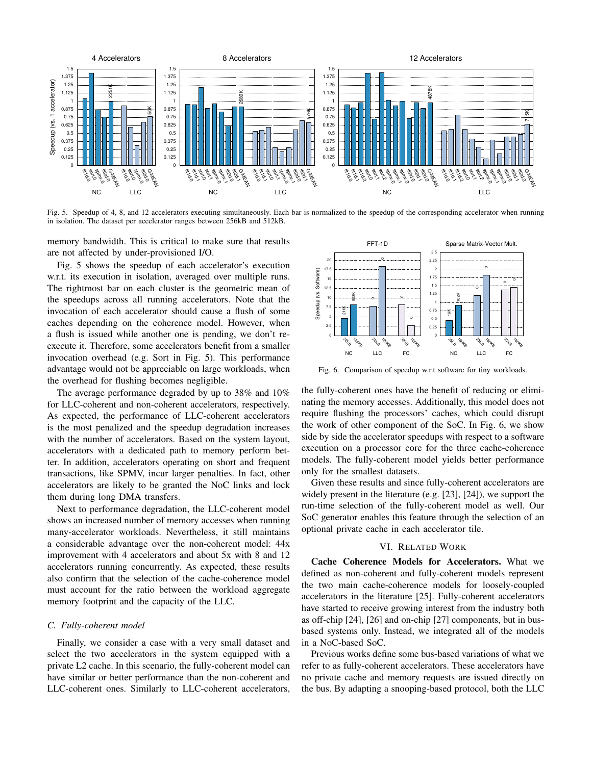

Fig. 5. Speedup of 4, 8, and 12 accelerators executing simultaneously. Each bar is normalized to the speedup of the corresponding accelerator when running in isolation. The dataset per accelerator ranges between 256kB and 512kB.

memory bandwidth. This is critical to make sure that results are not affected by under-provisioned I/O.

Fig. 5 shows the speedup of each accelerator's execution w.r.t. its execution in isolation, averaged over multiple runs. The rightmost bar on each cluster is the geometric mean of the speedups across all running accelerators. Note that the invocation of each accelerator should cause a flush of some caches depending on the coherence model. However, when a flush is issued while another one is pending, we don't reexecute it. Therefore, some accelerators benefit from a smaller invocation overhead (e.g. Sort in Fig. 5). This performance advantage would not be appreciable on large workloads, when the overhead for flushing becomes negligible.

The average performance degraded by up to 38% and 10% for LLC-coherent and non-coherent accelerators, respectively. As expected, the performance of LLC-coherent accelerators is the most penalized and the speedup degradation increases with the number of accelerators. Based on the system layout, accelerators with a dedicated path to memory perform better. In addition, accelerators operating on short and frequent transactions, like SPMV, incur larger penalties. In fact, other accelerators are likely to be granted the NoC links and lock them during long DMA transfers.

Next to performance degradation, the LLC-coherent model shows an increased number of memory accesses when running many-accelerator workloads. Nevertheless, it still maintains a considerable advantage over the non-coherent model: 44x improvement with 4 accelerators and about 5x with 8 and 12 accelerators running concurrently. As expected, these results also confirm that the selection of the cache-coherence model must account for the ratio between the workload aggregate memory footprint and the capacity of the LLC.

#### *C. Fully-coherent model*

Finally, we consider a case with a very small dataset and select the two accelerators in the system equipped with a private L2 cache. In this scenario, the fully-coherent model can have similar or better performance than the non-coherent and LLC-coherent ones. Similarly to LLC-coherent accelerators,



Fig. 6. Comparison of speedup w.r.t software for tiny workloads.

the fully-coherent ones have the benefit of reducing or eliminating the memory accesses. Additionally, this model does not require flushing the processors' caches, which could disrupt the work of other component of the SoC. In Fig. 6, we show side by side the accelerator speedups with respect to a software execution on a processor core for the three cache-coherence models. The fully-coherent model yields better performance only for the smallest datasets.

Given these results and since fully-coherent accelerators are widely present in the literature (e.g. [23], [24]), we support the run-time selection of the fully-coherent model as well. Our SoC generator enables this feature through the selection of an optional private cache in each accelerator tile.

#### VI. RELATED WORK

Cache Coherence Models for Accelerators. What we defined as non-coherent and fully-coherent models represent the two main cache-coherence models for loosely-coupled accelerators in the literature [25]. Fully-coherent accelerators have started to receive growing interest from the industry both as off-chip [24], [26] and on-chip [27] components, but in busbased systems only. Instead, we integrated all of the models in a NoC-based SoC.

Previous works define some bus-based variations of what we refer to as fully-coherent accelerators. These accelerators have no private cache and memory requests are issued directly on the bus. By adapting a snooping-based protocol, both the LLC